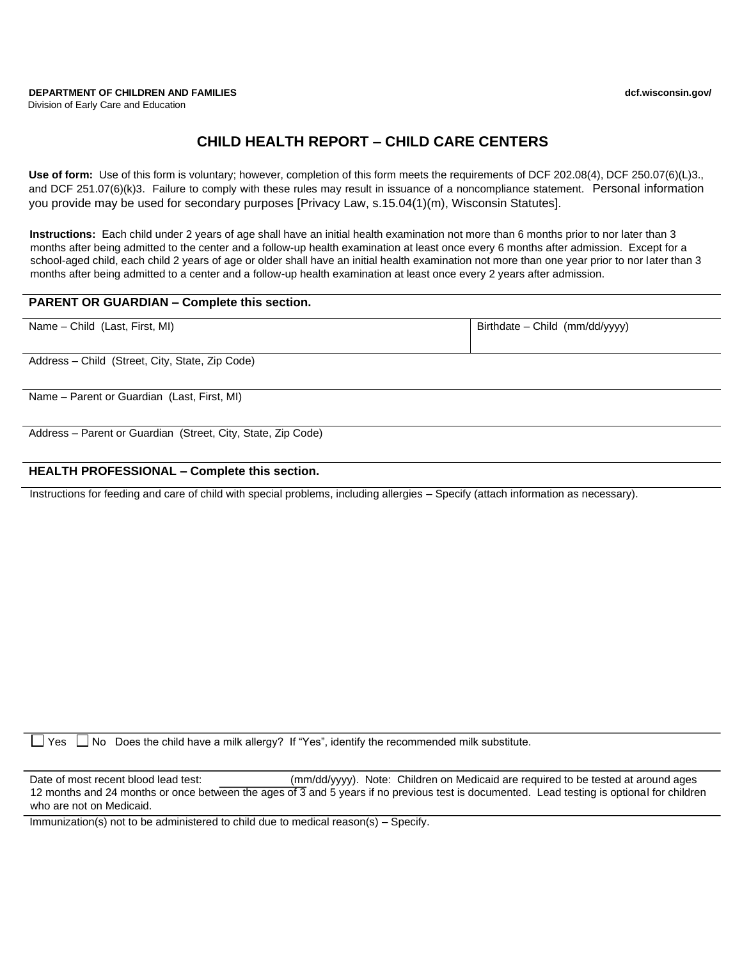## **CHILD HEALTH REPORT – CHILD CARE CENTERS**

**Use of form:** Use of this form is voluntary; however, completion of this form meets the requirements of DCF 202.08(4), DCF 250.07(6)(L)3., and DCF 251.07(6)(k)3. Failure to comply with these rules may result in issuance of a noncompliance statement. Personal information you provide may be used for secondary purposes [Privacy Law, s.15.04(1)(m), Wisconsin Statutes].

**Instructions:** Each child under 2 years of age shall have an initial health examination not more than 6 months prior to nor later than 3 months after being admitted to the center and a follow-up health examination at least once every 6 months after admission. Except for a school-aged child, each child 2 years of age or older shall have an initial health examination not more than one year prior to nor later than 3 months after being admitted to a center and a follow-up health examination at least once every 2 years after admission.

## **PARENT OR GUARDIAN – Complete this section.**

| Name - Child (Last, First, MI)                  | Birthdate – Child (mm/dd/yyyy) |
|-------------------------------------------------|--------------------------------|
|                                                 |                                |
| Address - Child (Street, City, State, Zip Code) |                                |
| Name - Parent or Guardian (Last, First, MI)     |                                |

Address – Parent or Guardian (Street, City, State, Zip Code)

## **HEALTH PROFESSIONAL – Complete this section.**

Instructions for feeding and care of child with special problems, including allergies – Specify (attach information as necessary).

 $\Box$  Yes  $\Box$  No Does the child have a milk allergy? If "Yes", identify the recommended milk substitute.

Date of most recent blood lead test: (mm/dd/yyyy). Note: Children on Medicaid are required to be tested at around ages 12 months and 24 months or once between the ages of 3 and 5 years if no previous test is documented. Lead testing is optional for children who are not on Medicaid.

Immunization(s) not to be administered to child due to medical reason(s) – Specify.